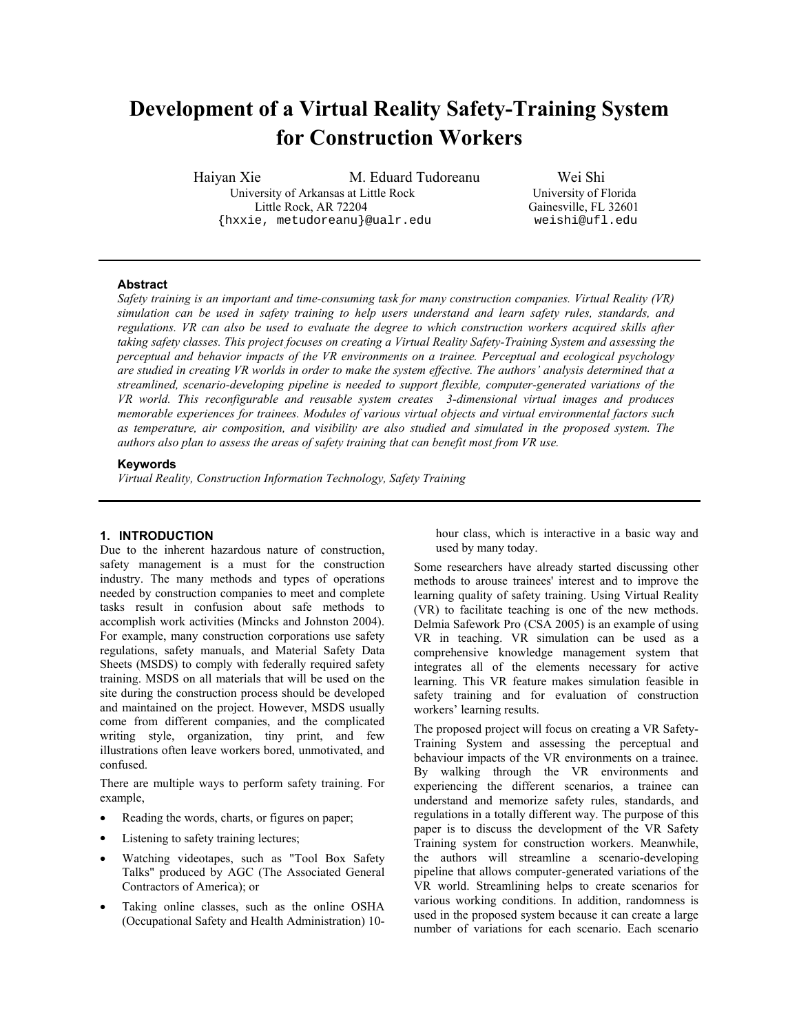# **Development of a Virtual Reality Safety-Training System for Construction Workers**

Haiyan Xie M. Eduard Tudoreanu Wei Shi University of Arkansas at Little Rock University of Florida Little Rock, AR 72204 Gainesville, FL 32601 {hxxie, metudoreanu}@ualr.edu weishi@ufl.edu

## **Abstract**

*Safety training is an important and time-consuming task for many construction companies. Virtual Reality (VR) simulation can be used in safety training to help users understand and learn safety rules, standards, and regulations. VR can also be used to evaluate the degree to which construction workers acquired skills after*  taking safety classes. This project focuses on creating a Virtual Reality Safety-Training System and assessing the *perceptual and behavior impacts of the VR environments on a trainee. Perceptual and ecological psychology are studied in creating VR worlds in order to make the system effective. The authors' analysis determined that a streamlined, scenario-developing pipeline is needed to support flexible, computer-generated variations of the VR world. This reconfigurable and reusable system creates 3-dimensional virtual images and produces memorable experiences for trainees. Modules of various virtual objects and virtual environmental factors such as temperature, air composition, and visibility are also studied and simulated in the proposed system. The authors also plan to assess the areas of safety training that can benefit most from VR use.* 

## **Keywords**

*Virtual Reality, Construction Information Technology, Safety Training* 

#### **1. INTRODUCTION**

Due to the inherent hazardous nature of construction, safety management is a must for the construction industry. The many methods and types of operations needed by construction companies to meet and complete tasks result in confusion about safe methods to accomplish work activities (Mincks and Johnston 2004). For example, many construction corporations use safety regulations, safety manuals, and Material Safety Data Sheets (MSDS) to comply with federally required safety training. MSDS on all materials that will be used on the site during the construction process should be developed and maintained on the project. However, MSDS usually come from different companies, and the complicated writing style, organization, tiny print, and few illustrations often leave workers bored, unmotivated, and confused.

There are multiple ways to perform safety training. For example,

- Reading the words, charts, or figures on paper;
- Listening to safety training lectures;
- Watching videotapes, such as "Tool Box Safety Talks" produced by AGC (The Associated General Contractors of America); or
- Taking online classes, such as the online OSHA (Occupational Safety and Health Administration) 10-

hour class, which is interactive in a basic way and used by many today.

Some researchers have already started discussing other methods to arouse trainees' interest and to improve the learning quality of safety training. Using Virtual Reality (VR) to facilitate teaching is one of the new methods. Delmia Safework Pro (CSA 2005) is an example of using VR in teaching. VR simulation can be used as a comprehensive knowledge management system that integrates all of the elements necessary for active learning. This VR feature makes simulation feasible in safety training and for evaluation of construction workers' learning results.

The proposed project will focus on creating a VR Safety-Training System and assessing the perceptual and behaviour impacts of the VR environments on a trainee. By walking through the VR environments and experiencing the different scenarios, a trainee can understand and memorize safety rules, standards, and regulations in a totally different way. The purpose of this paper is to discuss the development of the VR Safety Training system for construction workers. Meanwhile, the authors will streamline a scenario-developing pipeline that allows computer-generated variations of the VR world. Streamlining helps to create scenarios for various working conditions. In addition, randomness is used in the proposed system because it can create a large number of variations for each scenario. Each scenario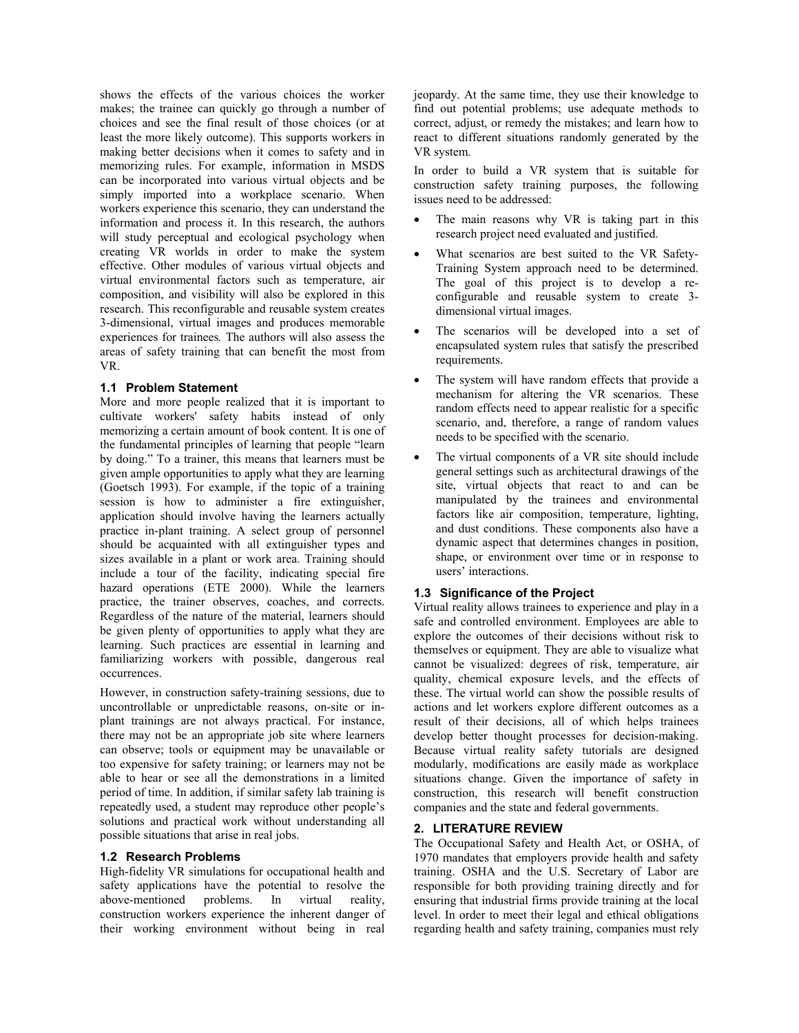shows the effects of the various choices the worker makes; the trainee can quickly go through a number of choices and see the final result of those choices (or at least the more likely outcome). This supports workers in making better decisions when it comes to safety and in memorizing rules. For example, information in MSDS can be incorporated into various virtual objects and be simply imported into a workplace scenario. When workers experience this scenario, they can understand the information and process it. In this research, the authors will study perceptual and ecological psychology when creating VR worlds in order to make the system effective. Other modules of various virtual objects and virtual environmental factors such as temperature, air composition, and visibility will also be explored in this research. This reconfigurable and reusable system creates 3-dimensional, virtual images and produces memorable experiences for trainees*.* The authors will also assess the areas of safety training that can benefit the most from VR.

# **1.1 Problem Statement**

More and more people realized that it is important to cultivate workers' safety habits instead of only memorizing a certain amount of book content. It is one of the fundamental principles of learning that people "learn by doing." To a trainer, this means that learners must be given ample opportunities to apply what they are learning (Goetsch 1993). For example, if the topic of a training session is how to administer a fire extinguisher, application should involve having the learners actually practice in-plant training. A select group of personnel should be acquainted with all extinguisher types and sizes available in a plant or work area. Training should include a tour of the facility, indicating special fire hazard operations (ETE 2000). While the learners practice, the trainer observes, coaches, and corrects. Regardless of the nature of the material, learners should be given plenty of opportunities to apply what they are learning. Such practices are essential in learning and familiarizing workers with possible, dangerous real occurrences.

However, in construction safety-training sessions, due to uncontrollable or unpredictable reasons, on-site or inplant trainings are not always practical. For instance, there may not be an appropriate job site where learners can observe; tools or equipment may be unavailable or too expensive for safety training; or learners may not be able to hear or see all the demonstrations in a limited period of time. In addition, if similar safety lab training is repeatedly used, a student may reproduce other people's solutions and practical work without understanding all possible situations that arise in real jobs.

# **1.2 Research Problems**

High-fidelity VR simulations for occupational health and safety applications have the potential to resolve the above-mentioned problems. In virtual reality, construction workers experience the inherent danger of their working environment without being in real

jeopardy. At the same time, they use their knowledge to find out potential problems; use adequate methods to correct, adjust, or remedy the mistakes; and learn how to react to different situations randomly generated by the VR system.

In order to build a VR system that is suitable for construction safety training purposes, the following issues need to be addressed:

- The main reasons why VR is taking part in this research project need evaluated and justified.
- What scenarios are best suited to the VR Safety-Training System approach need to be determined. The goal of this project is to develop a reconfigurable and reusable system to create 3 dimensional virtual images.
- The scenarios will be developed into a set of encapsulated system rules that satisfy the prescribed requirements.
- The system will have random effects that provide a mechanism for altering the VR scenarios. These random effects need to appear realistic for a specific scenario, and, therefore, a range of random values needs to be specified with the scenario.
- The virtual components of a VR site should include general settings such as architectural drawings of the site, virtual objects that react to and can be manipulated by the trainees and environmental factors like air composition, temperature, lighting, and dust conditions. These components also have a dynamic aspect that determines changes in position, shape, or environment over time or in response to users' interactions.

# **1.3 Significance of the Project**

Virtual reality allows trainees to experience and play in a safe and controlled environment. Employees are able to explore the outcomes of their decisions without risk to themselves or equipment. They are able to visualize what cannot be visualized: degrees of risk, temperature, air quality, chemical exposure levels, and the effects of these. The virtual world can show the possible results of actions and let workers explore different outcomes as a result of their decisions, all of which helps trainees develop better thought processes for decision-making. Because virtual reality safety tutorials are designed modularly, modifications are easily made as workplace situations change. Given the importance of safety in construction, this research will benefit construction companies and the state and federal governments.

# **2. LITERATURE REVIEW**

The Occupational Safety and Health Act, or OSHA, of 1970 mandates that employers provide health and safety training. OSHA and the U.S. Secretary of Labor are responsible for both providing training directly and for ensuring that industrial firms provide training at the local level. In order to meet their legal and ethical obligations regarding health and safety training, companies must rely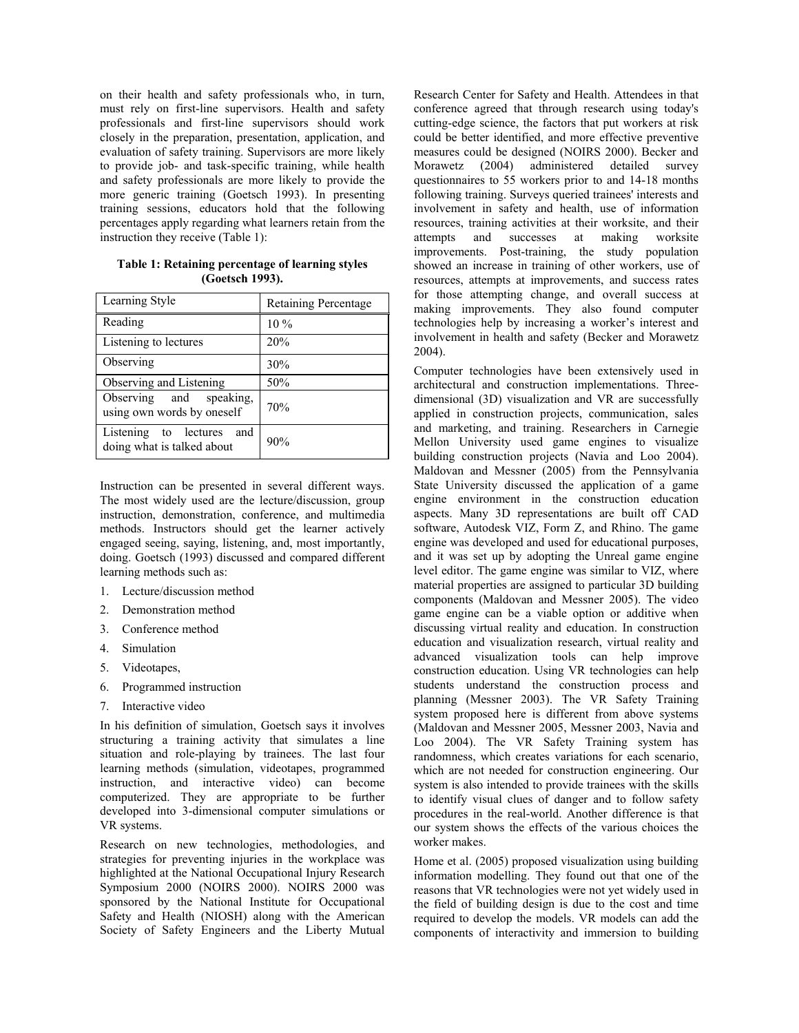on their health and safety professionals who, in turn, must rely on first-line supervisors. Health and safety professionals and first-line supervisors should work closely in the preparation, presentation, application, and evaluation of safety training. Supervisors are more likely to provide job- and task-specific training, while health and safety professionals are more likely to provide the more generic training (Goetsch 1993). In presenting training sessions, educators hold that the following percentages apply regarding what learners retain from the instruction they receive (Table 1):

**Table 1: Retaining percentage of learning styles (Goetsch 1993).** 

| Learning Style                                             | Retaining Percentage |  |
|------------------------------------------------------------|----------------------|--|
| Reading                                                    | 10 %                 |  |
| Listening to lectures                                      | 20%                  |  |
| Observing                                                  | 30%                  |  |
| Observing and Listening                                    | 50%                  |  |
| Observing and speaking,<br>using own words by oneself      | 70%                  |  |
| Listening to lectures<br>and<br>doing what is talked about | 90%                  |  |

Instruction can be presented in several different ways. The most widely used are the lecture/discussion, group instruction, demonstration, conference, and multimedia methods. Instructors should get the learner actively engaged seeing, saying, listening, and, most importantly, doing. Goetsch (1993) discussed and compared different learning methods such as:

- 1. Lecture/discussion method
- 2. Demonstration method
- 3. Conference method
- 4. Simulation
- 5. Videotapes,
- 6. Programmed instruction
- 7. Interactive video

In his definition of simulation, Goetsch says it involves structuring a training activity that simulates a line situation and role-playing by trainees. The last four learning methods (simulation, videotapes, programmed instruction, and interactive video) can become computerized. They are appropriate to be further developed into 3-dimensional computer simulations or VR systems.

Research on new technologies, methodologies, and strategies for preventing injuries in the workplace was highlighted at the National Occupational Injury Research Symposium 2000 (NOIRS 2000). NOIRS 2000 was sponsored by the National Institute for Occupational Safety and Health (NIOSH) along with the American Society of Safety Engineers and the Liberty Mutual

Research Center for Safety and Health. Attendees in that conference agreed that through research using today's cutting-edge science, the factors that put workers at risk could be better identified, and more effective preventive measures could be designed (NOIRS 2000). Becker and Morawetz (2004) administered detailed survey questionnaires to 55 workers prior to and 14-18 months following training. Surveys queried trainees' interests and involvement in safety and health, use of information resources, training activities at their worksite, and their attempts and successes at making worksite improvements. Post-training, the study population showed an increase in training of other workers, use of resources, attempts at improvements, and success rates for those attempting change, and overall success at making improvements. They also found computer technologies help by increasing a worker's interest and involvement in health and safety (Becker and Morawetz 2004).

Computer technologies have been extensively used in architectural and construction implementations. Threedimensional (3D) visualization and VR are successfully applied in construction projects, communication, sales and marketing, and training. Researchers in Carnegie Mellon University used game engines to visualize building construction projects (Navia and Loo 2004). Maldovan and Messner (2005) from the Pennsylvania State University discussed the application of a game engine environment in the construction education aspects. Many 3D representations are built off CAD software, Autodesk VIZ, Form Z, and Rhino. The game engine was developed and used for educational purposes, and it was set up by adopting the Unreal game engine level editor. The game engine was similar to VIZ, where material properties are assigned to particular 3D building components (Maldovan and Messner 2005). The video game engine can be a viable option or additive when discussing virtual reality and education. In construction education and visualization research, virtual reality and advanced visualization tools can help improve construction education. Using VR technologies can help students understand the construction process and planning (Messner 2003). The VR Safety Training system proposed here is different from above systems (Maldovan and Messner 2005, Messner 2003, Navia and Loo 2004). The VR Safety Training system has randomness, which creates variations for each scenario, which are not needed for construction engineering. Our system is also intended to provide trainees with the skills to identify visual clues of danger and to follow safety procedures in the real-world. Another difference is that our system shows the effects of the various choices the worker makes.

Home et al. (2005) proposed visualization using building information modelling. They found out that one of the reasons that VR technologies were not yet widely used in the field of building design is due to the cost and time required to develop the models. VR models can add the components of interactivity and immersion to building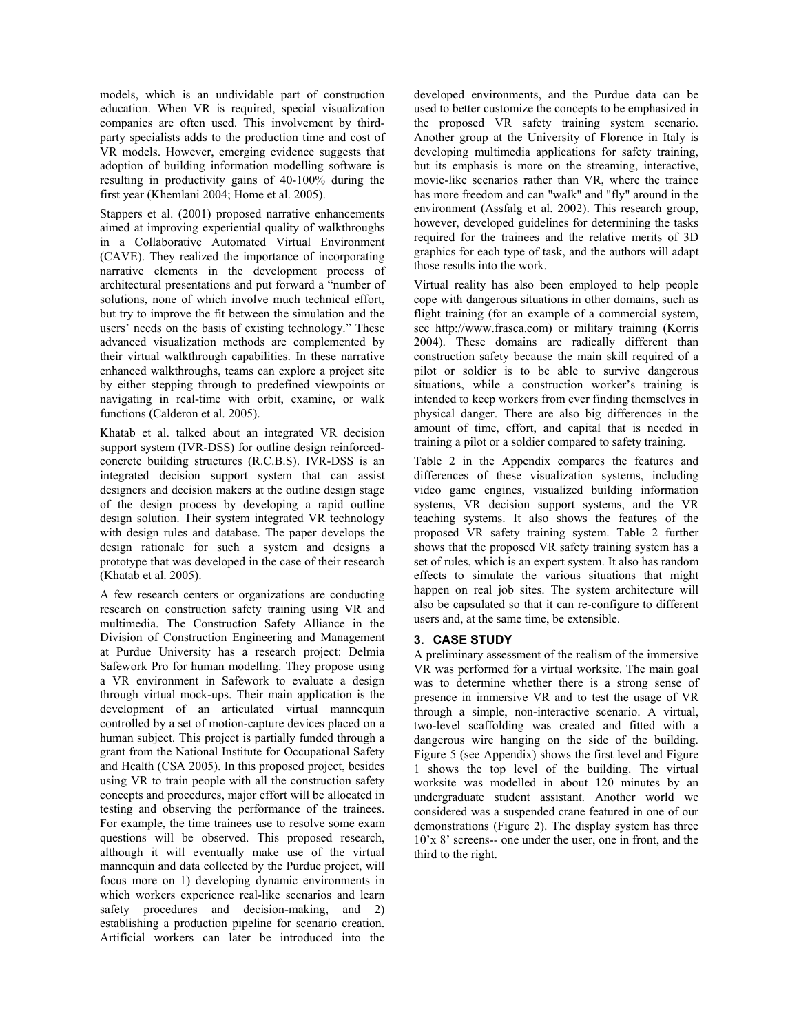models, which is an undividable part of construction education. When VR is required, special visualization companies are often used. This involvement by thirdparty specialists adds to the production time and cost of VR models. However, emerging evidence suggests that adoption of building information modelling software is resulting in productivity gains of 40-100% during the first year (Khemlani 2004; Home et al. 2005).

Stappers et al. (2001) proposed narrative enhancements aimed at improving experiential quality of walkthroughs in a Collaborative Automated Virtual Environment (CAVE). They realized the importance of incorporating narrative elements in the development process of architectural presentations and put forward a "number of solutions, none of which involve much technical effort, but try to improve the fit between the simulation and the users' needs on the basis of existing technology." These advanced visualization methods are complemented by their virtual walkthrough capabilities. In these narrative enhanced walkthroughs, teams can explore a project site by either stepping through to predefined viewpoints or navigating in real-time with orbit, examine, or walk functions (Calderon et al. 2005).

Khatab et al. talked about an integrated VR decision support system (IVR-DSS) for outline design reinforcedconcrete building structures (R.C.B.S). IVR-DSS is an integrated decision support system that can assist designers and decision makers at the outline design stage of the design process by developing a rapid outline design solution. Their system integrated VR technology with design rules and database. The paper develops the design rationale for such a system and designs a prototype that was developed in the case of their research (Khatab et al. 2005).

A few research centers or organizations are conducting research on construction safety training using VR and multimedia. The Construction Safety Alliance in the Division of Construction Engineering and Management at Purdue University has a research project: Delmia Safework Pro for human modelling. They propose using a VR environment in Safework to evaluate a design through virtual mock-ups. Their main application is the development of an articulated virtual mannequin controlled by a set of motion-capture devices placed on a human subject. This project is partially funded through a grant from the National Institute for Occupational Safety and Health (CSA 2005). In this proposed project, besides using VR to train people with all the construction safety concepts and procedures, major effort will be allocated in testing and observing the performance of the trainees. For example, the time trainees use to resolve some exam questions will be observed. This proposed research, although it will eventually make use of the virtual mannequin and data collected by the Purdue project, will focus more on 1) developing dynamic environments in which workers experience real-like scenarios and learn safety procedures and decision-making, and 2) establishing a production pipeline for scenario creation. Artificial workers can later be introduced into the

developed environments, and the Purdue data can be used to better customize the concepts to be emphasized in the proposed VR safety training system scenario. Another group at the University of Florence in Italy is developing multimedia applications for safety training, but its emphasis is more on the streaming, interactive, movie-like scenarios rather than VR, where the trainee has more freedom and can "walk" and "fly" around in the environment (Assfalg et al. 2002). This research group, however, developed guidelines for determining the tasks required for the trainees and the relative merits of 3D graphics for each type of task, and the authors will adapt those results into the work.

Virtual reality has also been employed to help people cope with dangerous situations in other domains, such as flight training (for an example of a commercial system, see http://www.frasca.com) or military training (Korris 2004). These domains are radically different than construction safety because the main skill required of a pilot or soldier is to be able to survive dangerous situations, while a construction worker's training is intended to keep workers from ever finding themselves in physical danger. There are also big differences in the amount of time, effort, and capital that is needed in training a pilot or a soldier compared to safety training.

Table 2 in the Appendix compares the features and differences of these visualization systems, including video game engines, visualized building information systems, VR decision support systems, and the VR teaching systems. It also shows the features of the proposed VR safety training system. Table 2 further shows that the proposed VR safety training system has a set of rules, which is an expert system. It also has random effects to simulate the various situations that might happen on real job sites. The system architecture will also be capsulated so that it can re-configure to different users and, at the same time, be extensible.

# **3. CASE STUDY**

A preliminary assessment of the realism of the immersive VR was performed for a virtual worksite. The main goal was to determine whether there is a strong sense of presence in immersive VR and to test the usage of VR through a simple, non-interactive scenario. A virtual, two-level scaffolding was created and fitted with a dangerous wire hanging on the side of the building. Figure 5 (see Appendix) shows the first level and Figure 1 shows the top level of the building. The virtual worksite was modelled in about 120 minutes by an undergraduate student assistant. Another world we considered was a suspended crane featured in one of our demonstrations (Figure 2). The display system has three 10'x 8' screens-- one under the user, one in front, and the third to the right.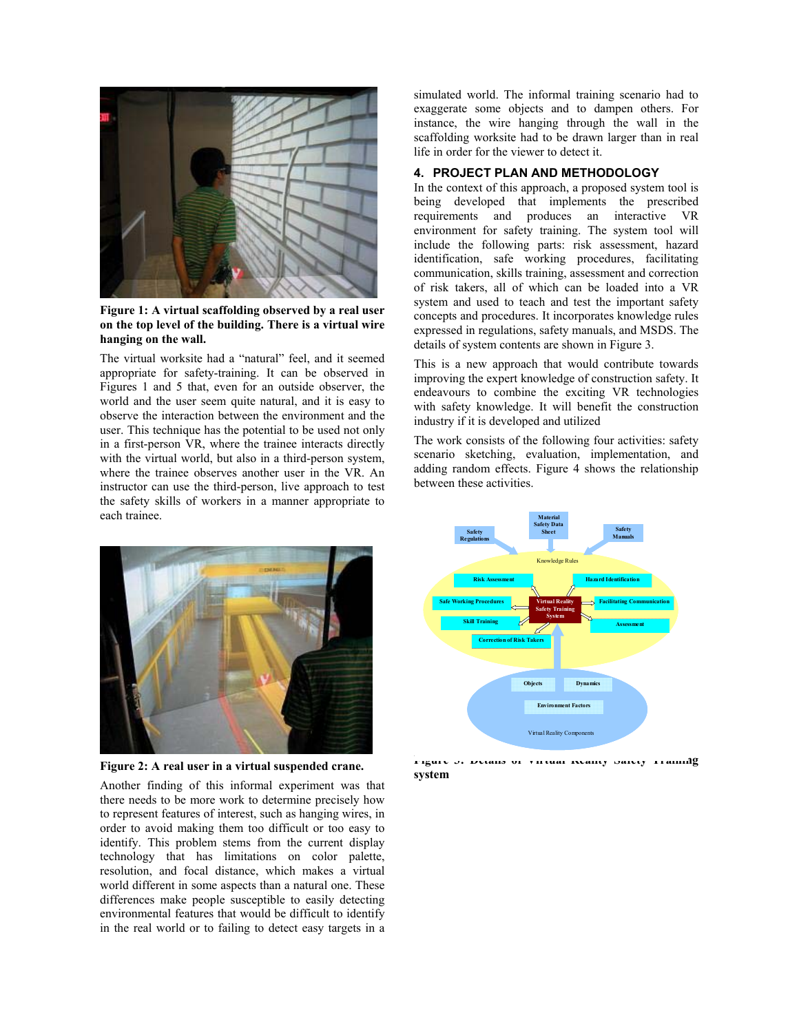

**Figure 1: A virtual scaffolding observed by a real user on the top level of the building. There is a virtual wire hanging on the wall.**

The virtual worksite had a "natural" feel, and it seemed appropriate for safety-training. It can be observed in Figures 1 and 5 that, even for an outside observer, the world and the user seem quite natural, and it is easy to observe the interaction between the environment and the user. This technique has the potential to be used not only in a first-person VR, where the trainee interacts directly with the virtual world, but also in a third-person system, where the trainee observes another user in the VR. An instructor can use the third-person, live approach to test the safety skills of workers in a manner appropriate to each trainee.



**Figure 2: A real user in a virtual suspended crane.** 

Another finding of this informal experiment was that there needs to be more work to determine precisely how to represent features of interest, such as hanging wires, in order to avoid making them too difficult or too easy to identify. This problem stems from the current display technology that has limitations on color palette, resolution, and focal distance, which makes a virtual world different in some aspects than a natural one. These differences make people susceptible to easily detecting environmental features that would be difficult to identify in the real world or to failing to detect easy targets in a simulated world. The informal training scenario had to exaggerate some objects and to dampen others. For instance, the wire hanging through the wall in the scaffolding worksite had to be drawn larger than in real life in order for the viewer to detect it.

# **4. PROJECT PLAN AND METHODOLOGY**

In the context of this approach, a proposed system tool is being developed that implements the prescribed requirements and produces an interactive VR environment for safety training. The system tool will include the following parts: risk assessment, hazard identification, safe working procedures, facilitating communication, skills training, assessment and correction of risk takers, all of which can be loaded into a VR system and used to teach and test the important safety concepts and procedures. It incorporates knowledge rules expressed in regulations, safety manuals, and MSDS. The details of system contents are shown in Figure 3.

This is a new approach that would contribute towards improving the expert knowledge of construction safety. It endeavours to combine the exciting VR technologies with safety knowledge. It will benefit the construction industry if it is developed and utilized

The work consists of the following four activities: safety scenario sketching, evaluation, implementation, and adding random effects. Figure 4 shows the relationship between these activities.



**Figure 3: Details of Virtual Reality Safety Training system**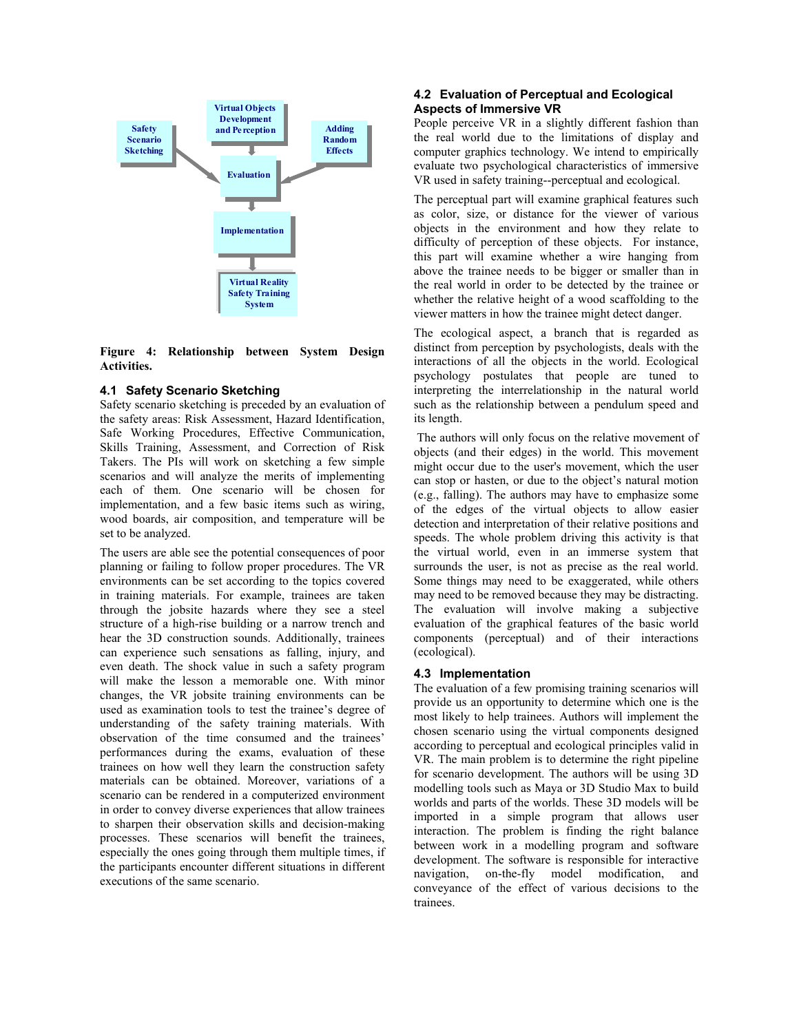

**Figure 4: Relationship between System Design Activities.** 

## **4.1 Safety Scenario Sketching**

Safety scenario sketching is preceded by an evaluation of the safety areas: Risk Assessment, Hazard Identification, Safe Working Procedures, Effective Communication, Skills Training, Assessment, and Correction of Risk Takers. The PIs will work on sketching a few simple scenarios and will analyze the merits of implementing each of them. One scenario will be chosen for implementation, and a few basic items such as wiring, wood boards, air composition, and temperature will be set to be analyzed.

The users are able see the potential consequences of poor planning or failing to follow proper procedures. The VR environments can be set according to the topics covered in training materials. For example, trainees are taken through the jobsite hazards where they see a steel structure of a high-rise building or a narrow trench and hear the 3D construction sounds. Additionally, trainees can experience such sensations as falling, injury, and even death. The shock value in such a safety program will make the lesson a memorable one. With minor changes, the VR jobsite training environments can be used as examination tools to test the trainee's degree of understanding of the safety training materials. With observation of the time consumed and the trainees' performances during the exams, evaluation of these trainees on how well they learn the construction safety materials can be obtained. Moreover, variations of a scenario can be rendered in a computerized environment in order to convey diverse experiences that allow trainees to sharpen their observation skills and decision-making processes. These scenarios will benefit the trainees, especially the ones going through them multiple times, if the participants encounter different situations in different executions of the same scenario.

# **4.2 Evaluation of Perceptual and Ecological Aspects of Immersive VR**

People perceive VR in a slightly different fashion than the real world due to the limitations of display and computer graphics technology. We intend to empirically evaluate two psychological characteristics of immersive VR used in safety training--perceptual and ecological.

The perceptual part will examine graphical features such as color, size, or distance for the viewer of various objects in the environment and how they relate to difficulty of perception of these objects. For instance, this part will examine whether a wire hanging from above the trainee needs to be bigger or smaller than in the real world in order to be detected by the trainee or whether the relative height of a wood scaffolding to the viewer matters in how the trainee might detect danger.

The ecological aspect, a branch that is regarded as distinct from perception by psychologists, deals with the interactions of all the objects in the world. Ecological psychology postulates that people are tuned to interpreting the interrelationship in the natural world such as the relationship between a pendulum speed and its length.

 The authors will only focus on the relative movement of objects (and their edges) in the world. This movement might occur due to the user's movement, which the user can stop or hasten, or due to the object's natural motion (e.g., falling). The authors may have to emphasize some of the edges of the virtual objects to allow easier detection and interpretation of their relative positions and speeds. The whole problem driving this activity is that the virtual world, even in an immerse system that surrounds the user, is not as precise as the real world. Some things may need to be exaggerated, while others may need to be removed because they may be distracting. The evaluation will involve making a subjective evaluation of the graphical features of the basic world components (perceptual) and of their interactions (ecological).

## **4.3 Implementation**

The evaluation of a few promising training scenarios will provide us an opportunity to determine which one is the most likely to help trainees. Authors will implement the chosen scenario using the virtual components designed according to perceptual and ecological principles valid in VR. The main problem is to determine the right pipeline for scenario development. The authors will be using 3D modelling tools such as Maya or 3D Studio Max to build worlds and parts of the worlds. These 3D models will be imported in a simple program that allows user interaction. The problem is finding the right balance between work in a modelling program and software development. The software is responsible for interactive navigation, on-the-fly model modification, and conveyance of the effect of various decisions to the trainees.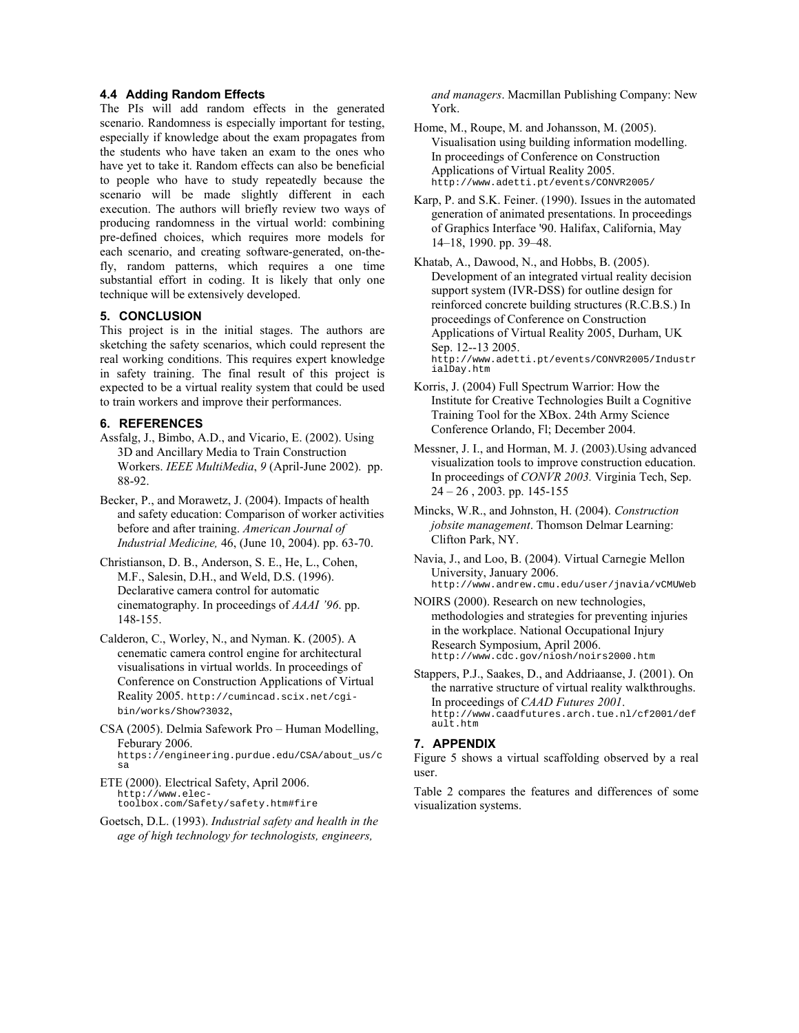### **4.4 Adding Random Effects**

The PIs will add random effects in the generated scenario. Randomness is especially important for testing, especially if knowledge about the exam propagates from the students who have taken an exam to the ones who have yet to take it. Random effects can also be beneficial to people who have to study repeatedly because the scenario will be made slightly different in each execution. The authors will briefly review two ways of producing randomness in the virtual world: combining pre-defined choices, which requires more models for each scenario, and creating software-generated, on-thefly, random patterns, which requires a one time substantial effort in coding. It is likely that only one technique will be extensively developed.

## **5. CONCLUSION**

This project is in the initial stages. The authors are sketching the safety scenarios, which could represent the real working conditions. This requires expert knowledge in safety training. The final result of this project is expected to be a virtual reality system that could be used to train workers and improve their performances.

## **6. REFERENCES**

- Assfalg, J., Bimbo, A.D., and Vicario, E. (2002). Using 3D and Ancillary Media to Train Construction Workers. *IEEE MultiMedia*, *9* (April-June 2002). pp. 88-92.
- Becker, P., and Morawetz, J. (2004). Impacts of health and safety education: Comparison of worker activities before and after training. *American Journal of Industrial Medicine,* 46, (June 10, 2004). pp. 63-70.
- Christianson, D. B., Anderson, S. E., He, L., Cohen, M.F., Salesin, D.H., and Weld, D.S. (1996). Declarative camera control for automatic cinematography. In proceedings of *AAAI '96*. pp. 148-155.
- Calderon, C., Worley, N., and Nyman. K. (2005). A cenematic camera control engine for architectural visualisations in virtual worlds. In proceedings of Conference on Construction Applications of Virtual Reality 2005. http://cumincad.scix.net/cgibin/works/Show?3032,
- CSA (2005). Delmia Safework Pro Human Modelling, Feburary 2006. https://engineering.purdue.edu/CSA/about\_us/c sa
- ETE (2000). Electrical Safety, April 2006. http://www.electoolbox.com/Safety/safety.htm#fire
- Goetsch, D.L. (1993). *Industrial safety and health in the age of high technology for technologists, engineers,*

*and managers*. Macmillan Publishing Company: New York.

- Home, M., Roupe, M. and Johansson, M. (2005). Visualisation using building information modelling. In proceedings of Conference on Construction Applications of Virtual Reality 2005. http://www.adetti.pt/events/CONVR2005/
- Karp, P. and S.K. Feiner. (1990). Issues in the automated generation of animated presentations. In proceedings of Graphics Interface '90. Halifax, California, May 14–18, 1990. pp. 39–48.

Khatab, A., Dawood, N., and Hobbs, B. (2005). Development of an integrated virtual reality decision support system (IVR-DSS) for outline design for reinforced concrete building structures (R.C.B.S.) In proceedings of Conference on Construction Applications of Virtual Reality 2005, Durham, UK Sep. 12--13 2005. http://www.adetti.pt/events/CONVR2005/Industr ialDay.htm

- Korris, J. (2004) Full Spectrum Warrior: How the Institute for Creative Technologies Built a Cognitive Training Tool for the XBox. 24th Army Science Conference Orlando, Fl; December 2004.
- Messner, J. I., and Horman, M. J. (2003).Using advanced visualization tools to improve construction education. In proceedings of *CONVR 2003.* Virginia Tech, Sep. 24 – 26 , 2003. pp. 145-155
- Mincks, W.R., and Johnston, H. (2004). *Construction jobsite management*. Thomson Delmar Learning: Clifton Park, NY.

Navia, J., and Loo, B. (2004). Virtual Carnegie Mellon University, January 2006. http://www.andrew.cmu.edu/user/jnavia/vCMUWeb

- NOIRS (2000). Research on new technologies, methodologies and strategies for preventing injuries in the workplace. National Occupational Injury Research Symposium, April 2006. http://www.cdc.gov/niosh/noirs2000.htm
- Stappers, P.J., Saakes, D., and Addriaanse, J. (2001). On the narrative structure of virtual reality walkthroughs. In proceedings of *CAAD Futures 2001*. http://www.caadfutures.arch.tue.nl/cf2001/def ault.htm

# **7. APPENDIX**

Figure 5 shows a virtual scaffolding observed by a real user.

Table 2 compares the features and differences of some visualization systems.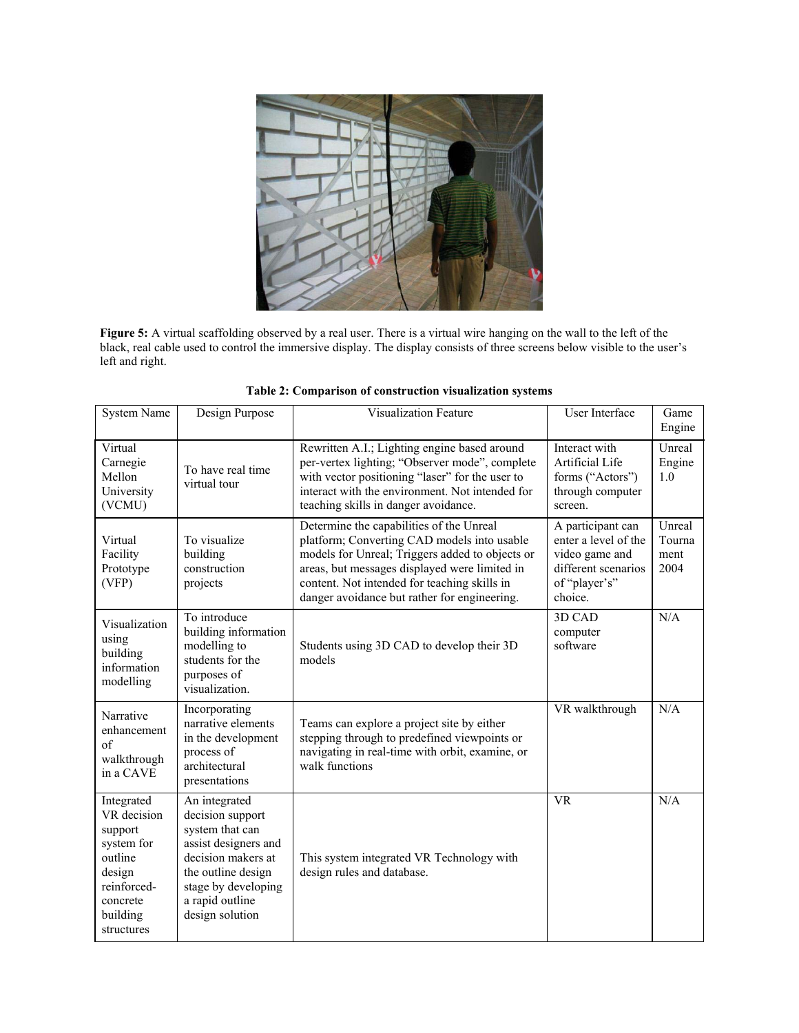

**Figure 5:** A virtual scaffolding observed by a real user. There is a virtual wire hanging on the wall to the left of the black, real cable used to control the immersive display. The display consists of three screens below visible to the user's left and right.

| <b>System Name</b>                                                                                                           | Design Purpose                                                                                                                                                                        | <b>Visualization Feature</b>                                                                                                                                                                                                                                                                | User Interface                                                                                                 | Game<br>Engine                   |
|------------------------------------------------------------------------------------------------------------------------------|---------------------------------------------------------------------------------------------------------------------------------------------------------------------------------------|---------------------------------------------------------------------------------------------------------------------------------------------------------------------------------------------------------------------------------------------------------------------------------------------|----------------------------------------------------------------------------------------------------------------|----------------------------------|
| Virtual<br>Carnegie<br>Mellon<br>University<br>(VCMU)                                                                        | To have real time<br>virtual tour                                                                                                                                                     | Rewritten A.I.; Lighting engine based around<br>per-vertex lighting; "Observer mode", complete<br>with vector positioning "laser" for the user to<br>interact with the environment. Not intended for<br>teaching skills in danger avoidance.                                                | Interact with<br>Artificial Life<br>forms ("Actors")<br>through computer<br>screen.                            | Unreal<br>Engine<br>1.0          |
| Virtual<br>Facility<br>Prototype<br>(VFP)                                                                                    | To visualize<br>building<br>construction<br>projects                                                                                                                                  | Determine the capabilities of the Unreal<br>platform; Converting CAD models into usable<br>models for Unreal; Triggers added to objects or<br>areas, but messages displayed were limited in<br>content. Not intended for teaching skills in<br>danger avoidance but rather for engineering. | A participant can<br>enter a level of the<br>video game and<br>different scenarios<br>of "player's"<br>choice. | Unreal<br>Tourna<br>ment<br>2004 |
| Visualization<br>using<br>building<br>information<br>modelling                                                               | To introduce<br>building information<br>modelling to<br>students for the<br>purposes of<br>visualization.                                                                             | Students using 3D CAD to develop their 3D<br>models                                                                                                                                                                                                                                         | 3D CAD<br>computer<br>software                                                                                 | N/A                              |
| Narrative<br>enhancement<br>of<br>walkthrough<br>in a CAVE                                                                   | Incorporating<br>narrative elements<br>in the development<br>process of<br>architectural<br>presentations                                                                             | Teams can explore a project site by either<br>stepping through to predefined viewpoints or<br>navigating in real-time with orbit, examine, or<br>walk functions                                                                                                                             | VR walkthrough                                                                                                 | N/A                              |
| Integrated<br>VR decision<br>support<br>system for<br>outline<br>design<br>reinforced-<br>concrete<br>building<br>structures | An integrated<br>decision support<br>system that can<br>assist designers and<br>decision makers at<br>the outline design<br>stage by developing<br>a rapid outline<br>design solution | This system integrated VR Technology with<br>design rules and database.                                                                                                                                                                                                                     | <b>VR</b>                                                                                                      | N/A                              |

**Table 2: Comparison of construction visualization systems**